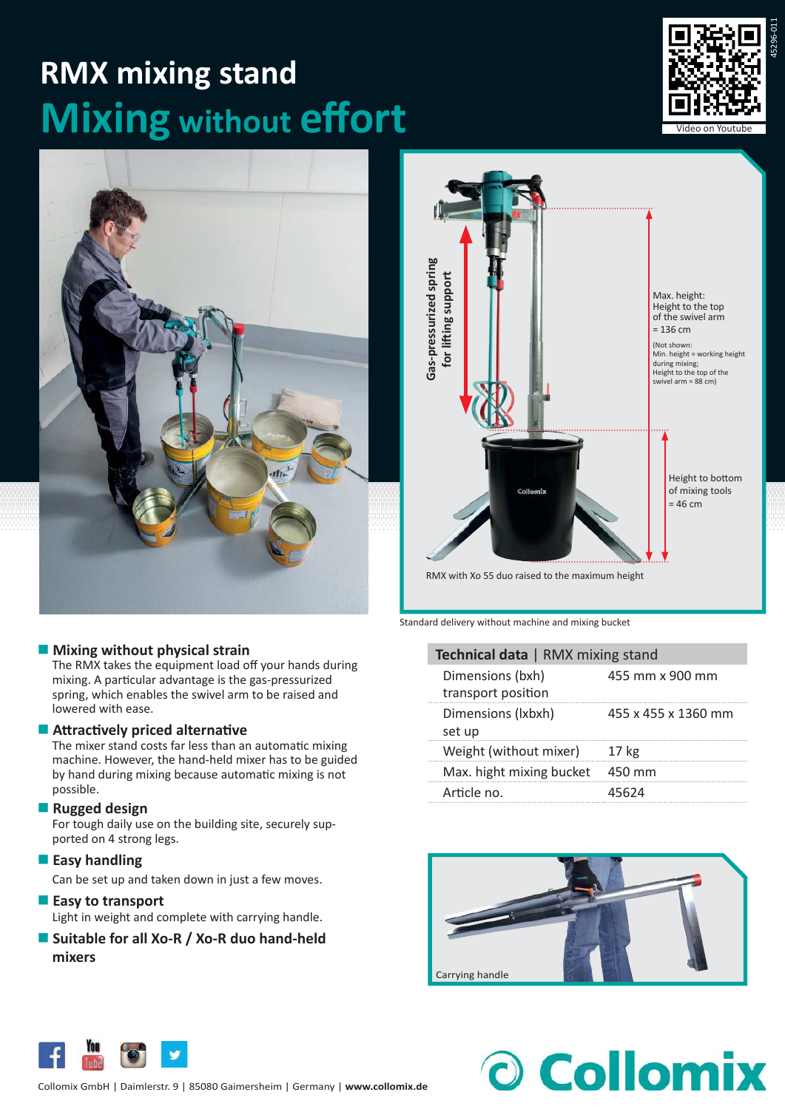# **RMX mixing stand Mixing** without **effort**





### **Mixing without physical strain**

The RMX takes the equipment load off your hands during mixing. A particular advantage is the gas-pressurized spring, which enables the swivel arm to be raised and lowered with ease.

#### **Attractively priced alternative**

The mixer stand costs far less than an automatic mixing machine. However, the hand-held mixer has to be guided by hand during mixing because automatic mixing is not possible.

#### **Rugged design**

For tough daily use on the building site, securely supported on 4 strong legs.

**Easy handling** 

Can be set up and taken down in just a few moves.

- **Easy to transport** Light in weight and complete with carrying handle.
- Suitable for all Xo-R / Xo-R duo hand-held **mixers**



RMX with Xo 55 duo raised to the maximum height

Standard delivery without machine and mixing bucket

| Technical data   RMX mixing stand      |                     |  |
|----------------------------------------|---------------------|--|
| Dimensions (bxh)<br>transport position | 455 mm x 900 mm     |  |
| Dimensions (Ixbxh)<br>set up           | 455 x 455 x 1360 mm |  |
| Weight (without mixer)                 | 17 <sub>kg</sub>    |  |
| Max. hight mixing bucket               | 450 mm              |  |
| Article no.                            | 45624               |  |



O Collomix